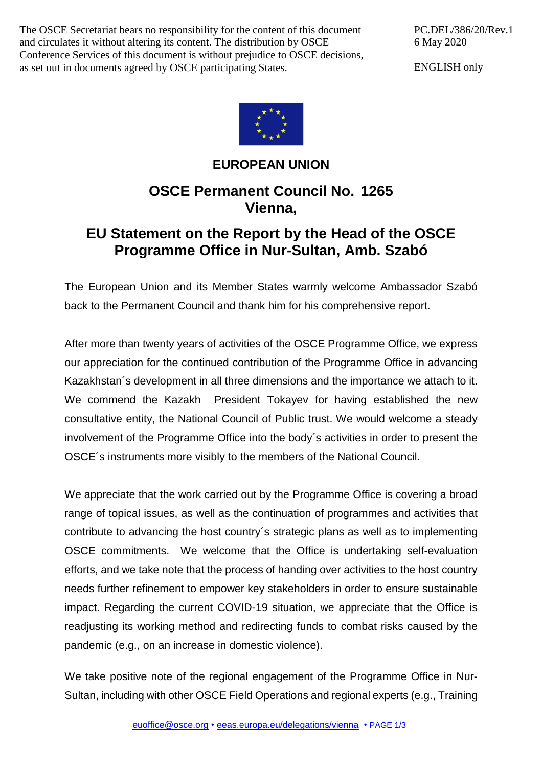The OSCE Secretariat bears no responsibility for the content of this document and circulates it without altering its content. The distribution by OSCE Conference Services of this document is without prejudice to OSCE decisions, as set out in documents agreed by OSCE participating States.

PC.DEL/386/20/Rev.1 6 May 2020

ENGLISH only



## **EUROPEAN UNION**

## **OSCE Permanent Council No. 1265 Vienna,**

## **EU Statement on the Report by the Head of the OSCE Programme Office in Nur-Sultan, Amb. Szabó**

The European Union and its Member States warmly welcome Ambassador Szabó back to the Permanent Council and thank him for his comprehensive report.

After more than twenty years of activities of the OSCE Programme Office, we express our appreciation for the continued contribution of the Programme Office in advancing Kazakhstan´s development in all three dimensions and the importance we attach to it. We commend the Kazakh President Tokayev for having established the new consultative entity, the National Council of Public trust. We would welcome a steady involvement of the Programme Office into the body´s activities in order to present the OSCE´s instruments more visibly to the members of the National Council.

We appreciate that the work carried out by the Programme Office is covering a broad range of topical issues, as well as the continuation of programmes and activities that contribute to advancing the host country´s strategic plans as well as to implementing OSCE commitments. We welcome that the Office is undertaking self-evaluation efforts, and we take note that the process of handing over activities to the host country needs further refinement to empower key stakeholders in order to ensure sustainable impact. Regarding the current COVID-19 situation, we appreciate that the Office is readjusting its working method and redirecting funds to combat risks caused by the pandemic (e.g., on an increase in domestic violence).

We take positive note of the regional engagement of the Programme Office in Nur-Sultan, including with other OSCE Field Operations and regional experts (e.g., Training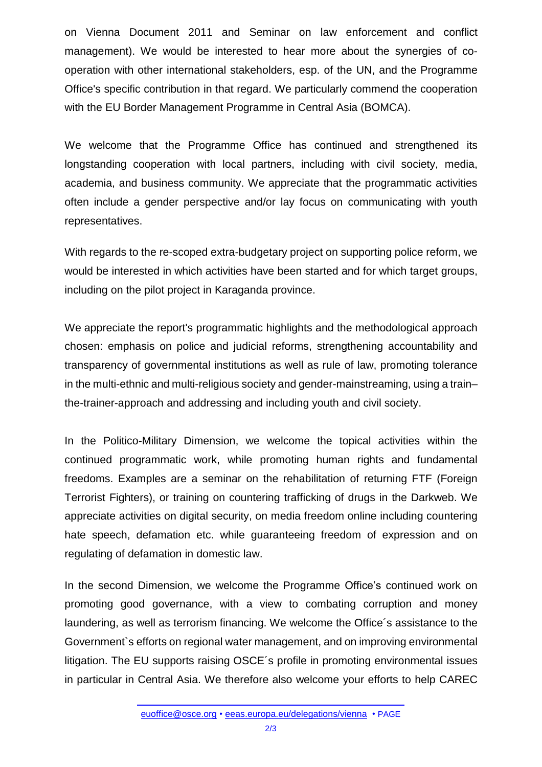on Vienna Document 2011 and Seminar on law enforcement and conflict management). We would be interested to hear more about the synergies of cooperation with other international stakeholders, esp. of the UN, and the Programme Office's specific contribution in that regard. We particularly commend the cooperation with the EU Border Management Programme in Central Asia (BOMCA).

We welcome that the Programme Office has continued and strengthened its longstanding cooperation with local partners, including with civil society, media, academia, and business community. We appreciate that the programmatic activities often include a gender perspective and/or lay focus on communicating with youth representatives.

With regards to the re-scoped extra-budgetary project on supporting police reform, we would be interested in which activities have been started and for which target groups, including on the pilot project in Karaganda province.

We appreciate the report's programmatic highlights and the methodological approach chosen: emphasis on police and judicial reforms, strengthening accountability and transparency of governmental institutions as well as rule of law, promoting tolerance in the multi-ethnic and multi-religious society and gender-mainstreaming, using a train– the-trainer-approach and addressing and including youth and civil society.

In the Politico-Military Dimension, we welcome the topical activities within the continued programmatic work, while promoting human rights and fundamental freedoms. Examples are a seminar on the rehabilitation of returning FTF (Foreign Terrorist Fighters), or training on countering trafficking of drugs in the Darkweb. We appreciate activities on digital security, on media freedom online including countering hate speech, defamation etc. while guaranteeing freedom of expression and on regulating of defamation in domestic law.

In the second Dimension, we welcome the Programme Office's continued work on promoting good governance, with a view to combating corruption and money laundering, as well as terrorism financing. We welcome the Office´s assistance to the Government`s efforts on regional water management, and on improving environmental litigation. The EU supports raising OSCE´s profile in promoting environmental issues in particular in Central Asia. We therefore also welcome your efforts to help CAREC